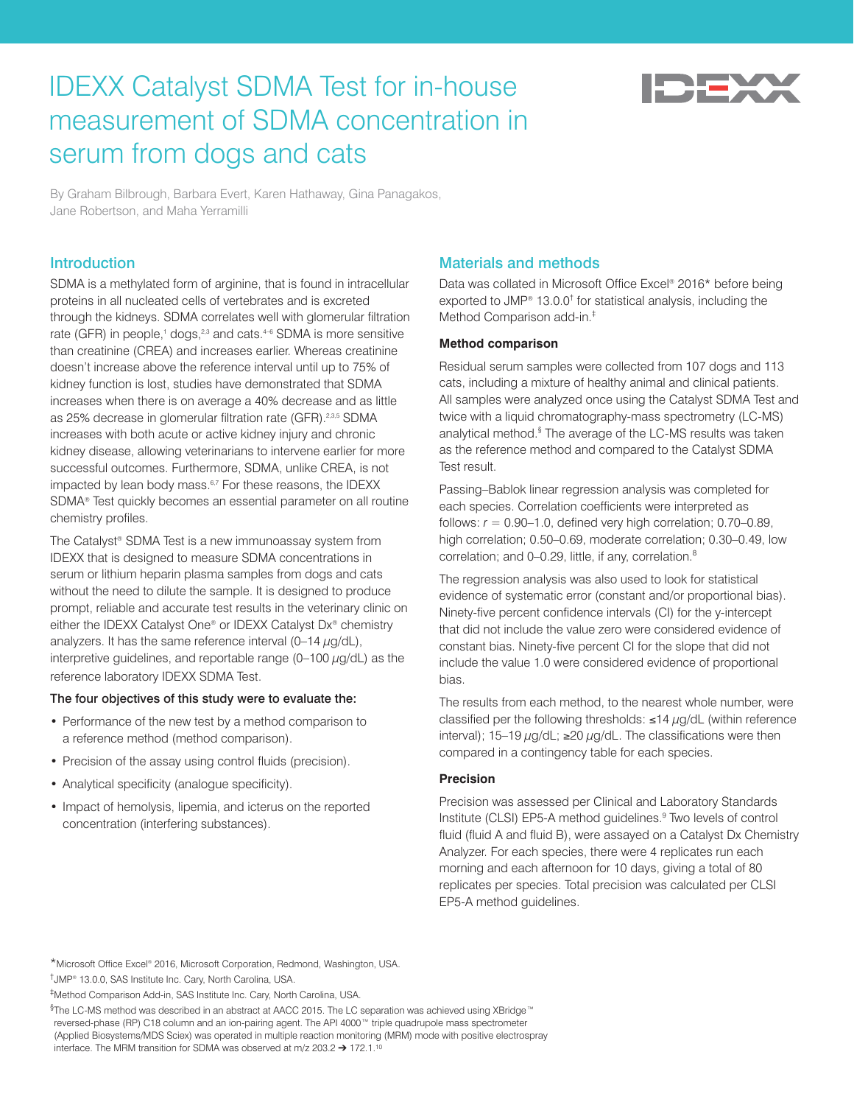# IDEXX Catalyst SDMA Test for in-house measurement of SDMA concentration in serum from dogs and cats



By Graham Bilbrough, Barbara Evert, Karen Hathaway, Gina Panagakos, Jane Robertson, and Maha Yerramilli

# **Introduction**

SDMA is a methylated form of arginine, that is found in intracellular proteins in all nucleated cells of vertebrates and is excreted through the kidneys. SDMA correlates well with glomerular filtration rate (GFR) in people,<sup>1</sup> dogs,<sup>2,3</sup> and cats.<sup>4-6</sup> SDMA is more sensitive than creatinine (CREA) and increases earlier. Whereas creatinine doesn't increase above the reference interval until up to 75% of kidney function is lost, studies have demonstrated that SDMA increases when there is on average a 40% decrease and as little as 25% decrease in glomerular filtration rate (GFR).<sup>2,3,5</sup> SDMA increases with both acute or active kidney injury and chronic kidney disease, allowing veterinarians to intervene earlier for more successful outcomes. Furthermore, SDMA, unlike CREA, is not impacted by lean body mass.<sup>6,7</sup> For these reasons, the IDEXX SDMA® Test quickly becomes an essential parameter on all routine chemistry profiles.

The Catalyst® SDMA Test is a new immunoassay system from IDEXX that is designed to measure SDMA concentrations in serum or lithium heparin plasma samples from dogs and cats without the need to dilute the sample. It is designed to produce prompt, reliable and accurate test results in the veterinary clinic on either the IDEXX Catalyst One® or IDEXX Catalyst Dx® chemistry analyzers. It has the same reference interval  $(0-14 \mu g/dL)$ , interpretive guidelines, and reportable range  $(0-100 \mu g/dL)$  as the reference laboratory IDEXX SDMA Test.

#### The four objectives of this study were to evaluate the:

- Performance of the new test by a method comparison to a reference method (method comparison).
- Precision of the assay using control fluids (precision).
- Analytical specificity (analogue specificity).
- Impact of hemolysis, lipemia, and icterus on the reported concentration (interfering substances).

# Materials and methods

Data was collated in Microsoft Office Excel® 2016\* before being exported to JMP® 13.0.0<sup>†</sup> for statistical analysis, including the Method Comparison add-in.‡

#### **Method comparison**

Residual serum samples were collected from 107 dogs and 113 cats, including a mixture of healthy animal and clinical patients. All samples were analyzed once using the Catalyst SDMA Test and twice with a liquid chromatography-mass spectrometry (LC-MS) analytical method.<sup>§</sup> The average of the LC-MS results was taken as the reference method and compared to the Catalyst SDMA Test result.

Passing–Bablok linear regression analysis was completed for each species. Correlation coefficients were interpreted as follows:  $r = 0.90-1.0$ , defined very high correlation;  $0.70-0.89$ , high correlation; 0.50–0.69, moderate correlation; 0.30–0.49, low correlation; and 0–0.29, little, if any, correlation.<sup>8</sup>

The regression analysis was also used to look for statistical evidence of systematic error (constant and/or proportional bias). Ninety-five percent confidence intervals (CI) for the y-intercept that did not include the value zero were considered evidence of constant bias. Ninety-five percent CI for the slope that did not include the value 1.0 were considered evidence of proportional bias.

The results from each method, to the nearest whole number, were classified per the following thresholds:  $\leq$ 14  $\mu$ g/dL (within reference interval); 15–19 µg/dL; ≥20 µg/dL. The classifications were then compared in a contingency table for each species.

#### **Precision**

Precision was assessed per Clinical and Laboratory Standards Institute (CLSI) EP5-A method guidelines.<sup>9</sup> Two levels of control fluid (fluid A and fluid B), were assayed on a Catalyst Dx Chemistry Analyzer. For each species, there were 4 replicates run each morning and each afternoon for 10 days, giving a total of 80 replicates per species. Total precision was calculated per CLSI EP5-A method guidelines.

\*Microsoft Office Excel® 2016, Microsoft Corporation, Redmond, Washington, USA. †JMP® 13.0.0, SAS Institute Inc. Cary, North Carolina, USA.

‡Method Comparison Add-in, SAS Institute Inc. Cary, North Carolina, USA.

§The LC-MS method was described in an abstract at AACC 2015. The LC separation was achieved using XBridge™ reversed-phase (RP) C18 column and an ion-pairing agent. The API 4000™ triple quadrupole mass spectrometer (Applied Biosystems/MDS Sciex) was operated in multiple reaction monitoring (MRM) mode with positive electrospray interface. The MRM transition for SDMA was observed at m/z 203.2 ➔ 172.1.10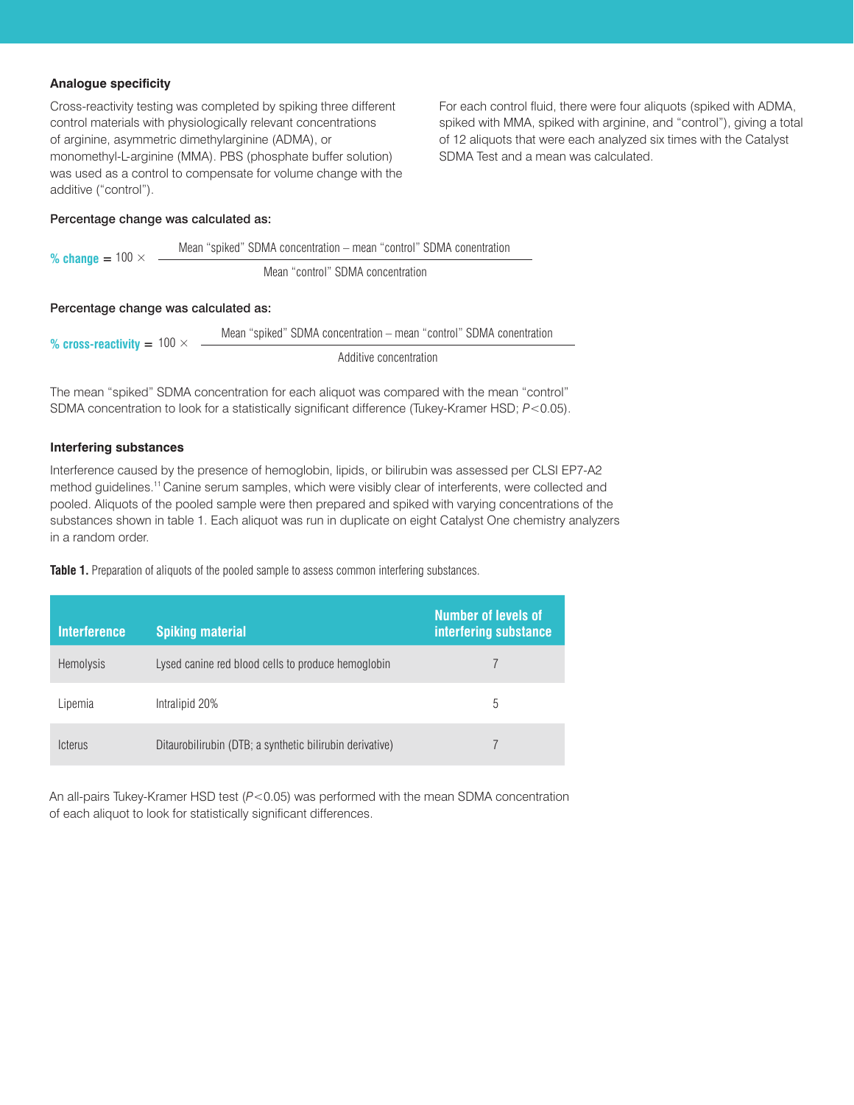## **Analogue specificity**

Cross-reactivity testing was completed by spiking three different control materials with physiologically relevant concentrations of arginine, asymmetric dimethylarginine (ADMA), or monomethyl-L-arginine (MMA). PBS (phosphate buffer solution) was used as a control to compensate for volume change with the additive ("control").

Percentage change was calculated as:

$$
\% \text{ change} = 100 \times \frac{\text{Mean "spiled" SDMA concentration} - \text{mean "control" SDMA concentration}}{\text{Mean "control" SDMA concentration}}
$$

#### Percentage change was calculated as:

% cross-reactivity  $= 100 \times$ Mean "spiked" SDMA concentration – mean "control" SDMA conentration Additive concentration

The mean "spiked" SDMA concentration for each aliquot was compared with the mean "control" SDMA concentration to look for a statistically significant difference (Tukey-Kramer HSD; *P*<0.05).

#### **Interfering substances**

Interference caused by the presence of hemoglobin, lipids, or bilirubin was assessed per CLSI EP7-A2 method guidelines.<sup>11</sup> Canine serum samples, which were visibly clear of interferents, were collected and pooled. Aliquots of the pooled sample were then prepared and spiked with varying concentrations of the substances shown in table 1. Each aliquot was run in duplicate on eight Catalyst One chemistry analyzers in a random order.

**Table 1.** Preparation of aliquots of the pooled sample to assess common interfering substances.

| <b>Interference</b>          | <b>Spiking material</b>                                  | Number of levels of<br>interfering substance |
|------------------------------|----------------------------------------------------------|----------------------------------------------|
| <b>Hemolysis</b>             | Lysed canine red blood cells to produce hemoglobin       |                                              |
| Lipemia                      | Intralipid 20%                                           | 5                                            |
| <i><u><b>Icterus</b></u></i> | Ditaurobilirubin (DTB; a synthetic bilirubin derivative) |                                              |

An all-pairs Tukey-Kramer HSD test (*P*<0.05) was performed with the mean SDMA concentration of each aliquot to look for statistically significant differences.

For each control fluid, there were four aliquots (spiked with ADMA, spiked with MMA, spiked with arginine, and "control"), giving a total of 12 aliquots that were each analyzed six times with the Catalyst SDMA Test and a mean was calculated.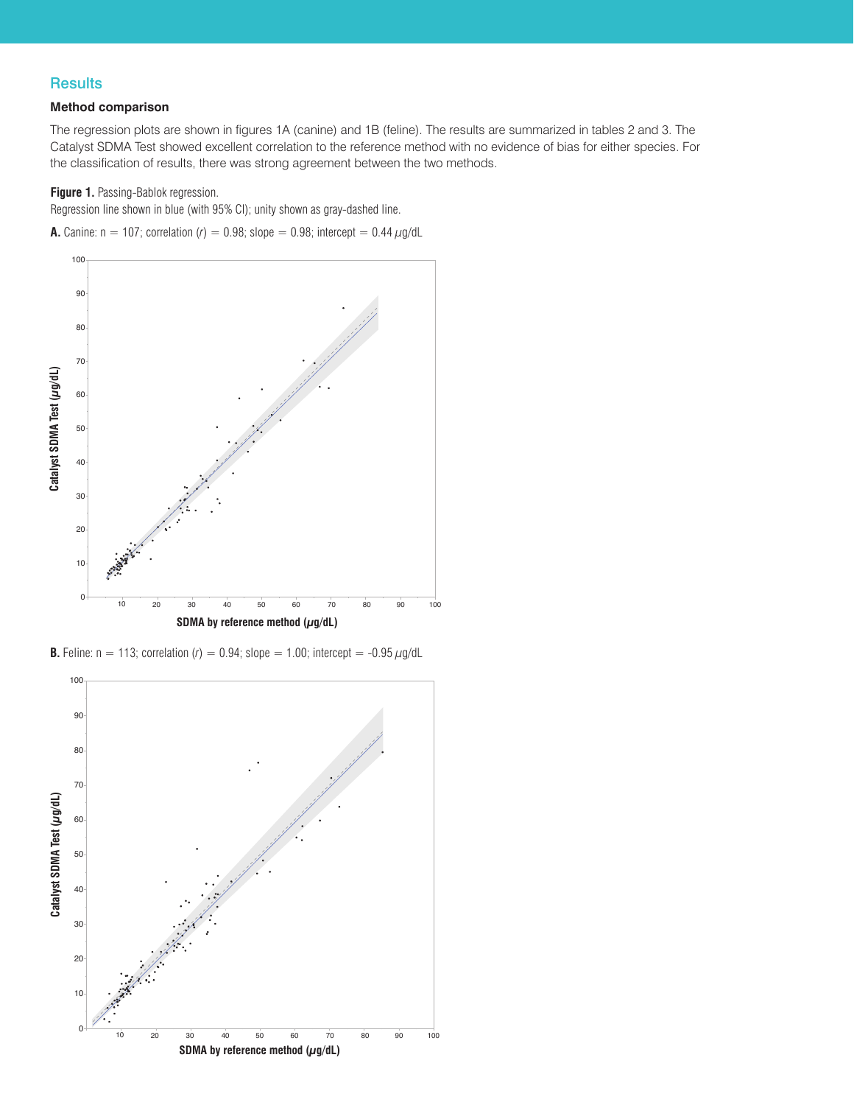# **Results**

## **Method comparison**

The regression plots are shown in figures 1A (canine) and 1B (feline). The results are summarized in tables 2 and 3. The Catalyst SDMA Test showed excellent correlation to the reference method with no evidence of bias for either species. For the classification of results, there was strong agreement between the two methods.

# **Figure 1.** Passing-Bablok regression.

Regression line shown in blue (with 95% CI); unity shown as gray-dashed line.

**A.** Canine:  $n = 107$ ; correlation (*r*) = 0.98; slope = 0.98; intercept = 0.44  $\mu$ g/dL



**B.** Feline:  $n = 113$ ; correlation  $(r) = 0.94$ ; slope = 1.00; intercept = -0.95  $\mu$ g/dL

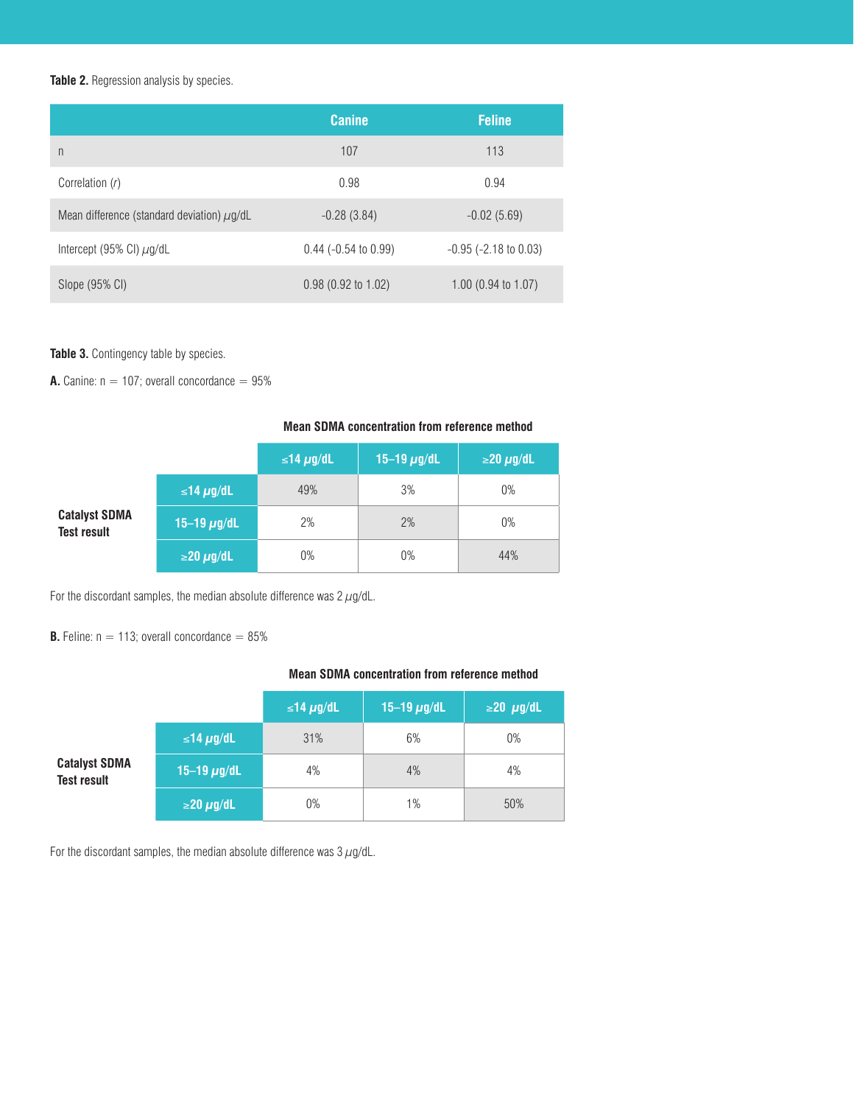#### **Table 2.** Regression analysis by species.

|                                                 | <b>Canine</b>          | <b>Feline</b>                  |
|-------------------------------------------------|------------------------|--------------------------------|
| n                                               | 107                    | 113                            |
| Correlation (r)                                 | 0.98                   | 0.94                           |
| Mean difference (standard deviation) $\mu$ g/dL | $-0.28(3.84)$          | $-0.02(5.69)$                  |
| Intercept (95% CI) $\mu$ g/dL                   | $0.44$ (-0.54 to 0.99) | $-0.95$ ( $-2.18$ to 0.03)     |
| Slope (95% CI)                                  | $0.98$ (0.92 to 1.02)  | 1.00 $(0.94 \text{ to } 1.07)$ |

## **Table 3.** Contingency table by species.

**A.** Canine:  $n = 107$ ; overall concordance  $= 95%$ 

#### **Mean SDMA concentration from reference method**

|                                            |                      | ≤14 $\mu$ g/dL | 15-19 $\mu$ g/dL | $\geq$ 20 $\mu$ g/dL |
|--------------------------------------------|----------------------|----------------|------------------|----------------------|
|                                            | ≤14 $\mu$ g/dL       | 49%            | 3%               | $0\%$                |
| <b>Catalyst SDMA</b><br><b>Test result</b> | 15-19 $\mu$ g/dL     | 2%             | 2%               | $0\%$                |
|                                            | $\geq$ 20 $\mu$ g/dL | 0%             | $0\%$            | 44%                  |

For the discordant samples, the median absolute difference was  $2 \mu g/dL$ .

**B.** Feline:  $n = 113$ ; overall concordance  $= 85\%$ 

#### **Mean SDMA concentration from reference method**

|                                            |                      | ≤14 $\mu$ g/dL | 15-19 $\mu$ g/dL | $\geq$ 20 $\mu$ g/dL |
|--------------------------------------------|----------------------|----------------|------------------|----------------------|
| <b>Catalyst SDMA</b><br><b>Test result</b> | ≤14 $\mu$ g/dL       | 31%            | 6%               | $0\%$                |
|                                            | 15-19 $\mu$ g/dL     | 4%             | 4%               | 4%                   |
|                                            | $\geq$ 20 $\mu$ g/dL | $0\%$          | 1%               | 50%                  |

For the discordant samples, the median absolute difference was  $3 \mu$ g/dL.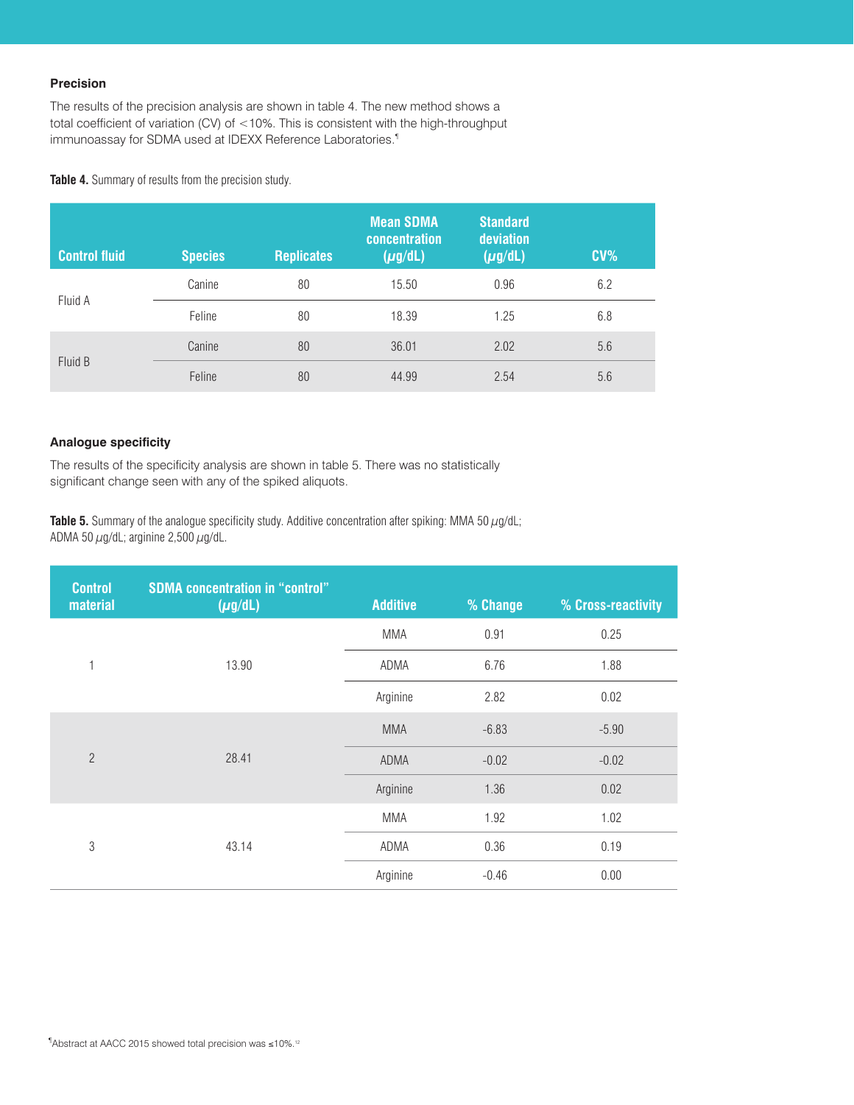# **Precision**

The results of the precision analysis are shown in table 4. The new method shows a total coefficient of variation (CV) of <10%. This is consistent with the high-throughput immunoassay for SDMA used at IDEXX Reference Laboratories.<sup>1</sup>

Table 4. Summary of results from the precision study.

| <b>Control fluid</b> | <b>Species</b> | <b>Replicates</b> | <b>Mean SDMA</b><br><b>concentration</b><br>$(\mu g/dL)$ | <b>Standard</b><br>deviation<br>$(\mu g/dL)$ | CV <sub>6</sub> |
|----------------------|----------------|-------------------|----------------------------------------------------------|----------------------------------------------|-----------------|
| Fluid A              | Canine         | 80                | 15.50                                                    | 0.96                                         | 6.2             |
|                      | Feline         | 80                | 18.39                                                    | 1.25                                         | 6.8             |
| Fluid B              | Canine         | 80                | 36.01                                                    | 2.02                                         | 5.6             |
|                      | Feline         | 80                | 44.99                                                    | 2.54                                         | 5.6             |

#### **Analogue specificity**

The results of the specificity analysis are shown in table 5. There was no statistically significant change seen with any of the spiked aliquots.

Table 5. Summary of the analogue specificity study. Additive concentration after spiking: MMA 50  $\mu$ g/dL; ADMA 50  $\mu$ g/dL; arginine 2,500  $\mu$ g/dL.

| <b>Control</b><br>material | <b>SDMA concentration in "control"</b><br>$(\mu g/dL)$ | <b>Additive</b> | % Change | % Cross-reactivity |
|----------------------------|--------------------------------------------------------|-----------------|----------|--------------------|
|                            |                                                        | <b>MMA</b>      | 0.91     | 0.25               |
| 1                          | 13.90                                                  | ADMA            | 6.76     | 1.88               |
|                            |                                                        | Arginine        | 2.82     | 0.02               |
| $\overline{2}$             | 28.41                                                  | <b>MMA</b>      | $-6.83$  | $-5.90$            |
|                            |                                                        | ADMA            | $-0.02$  | $-0.02$            |
|                            |                                                        | Arginine        | 1.36     | 0.02               |
| 3                          | 43.14                                                  | <b>MMA</b>      | 1.92     | 1.02               |
|                            |                                                        | ADMA            | 0.36     | 0.19               |
|                            |                                                        | Arginine        | $-0.46$  | 0.00               |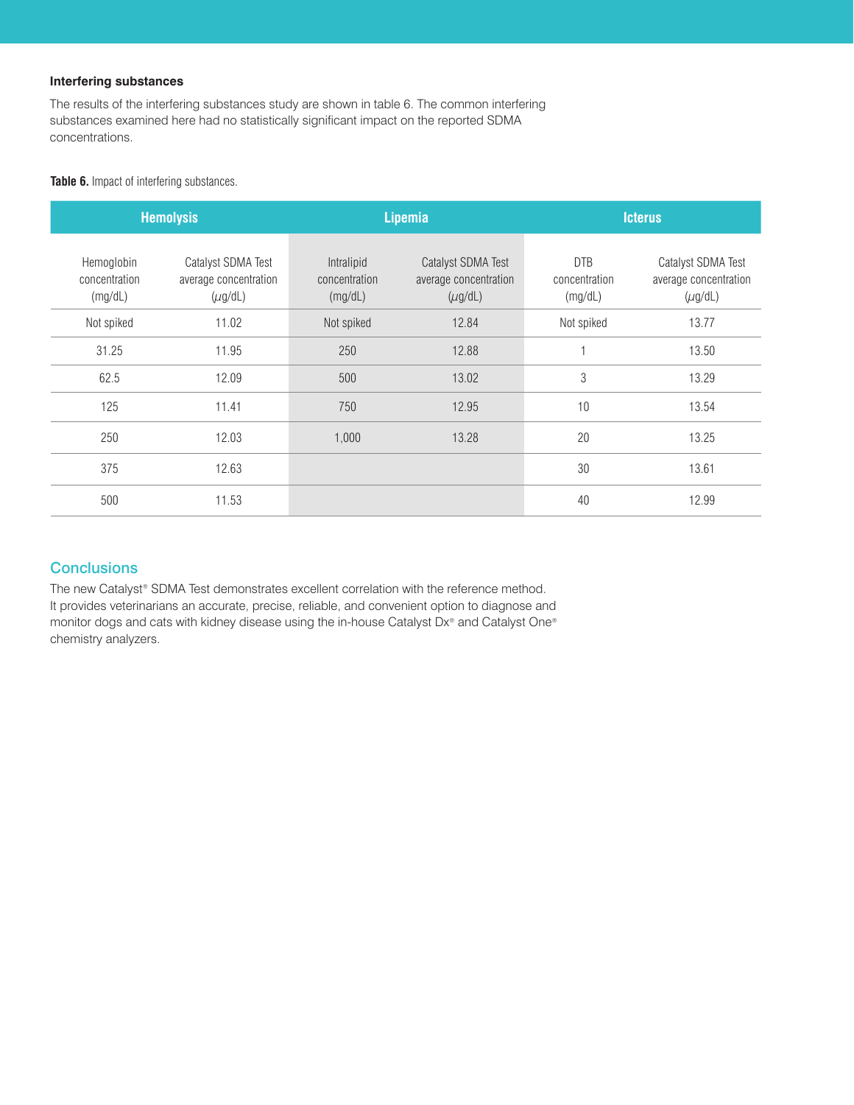## **Interfering substances**

The results of the interfering substances study are shown in table 6. The common interfering substances examined here had no statistically significant impact on the reported SDMA concentrations.

#### **Table 6.** Impact of interfering substances.

|                                        | <b>Hemolysis</b>                                            |                                        | <b>Lipemia</b>                                              |                                        | <b>Icterus</b>                                              |  |
|----------------------------------------|-------------------------------------------------------------|----------------------------------------|-------------------------------------------------------------|----------------------------------------|-------------------------------------------------------------|--|
| Hemoglobin<br>concentration<br>(mg/dL) | Catalyst SDMA Test<br>average concentration<br>$(\mu$ g/dL) | Intralipid<br>concentration<br>(mg/dL) | Catalyst SDMA Test<br>average concentration<br>$(\mu$ g/dL) | <b>DTB</b><br>concentration<br>(mg/dL) | Catalyst SDMA Test<br>average concentration<br>$(\mu$ g/dL) |  |
| Not spiked                             | 11.02                                                       | Not spiked                             | 12.84                                                       | Not spiked                             | 13.77                                                       |  |
| 31.25                                  | 11.95                                                       | 250                                    | 12.88                                                       |                                        | 13.50                                                       |  |
| 62.5                                   | 12.09                                                       | 500                                    | 13.02                                                       | 3                                      | 13.29                                                       |  |
| 125                                    | 11.41                                                       | 750                                    | 12.95                                                       | 10                                     | 13.54                                                       |  |
| 250                                    | 12.03                                                       | 1,000                                  | 13.28                                                       | 20                                     | 13.25                                                       |  |
| 375                                    | 12.63                                                       |                                        |                                                             | 30                                     | 13.61                                                       |  |
| 500                                    | 11.53                                                       |                                        |                                                             | 40                                     | 12.99                                                       |  |

# **Conclusions**

The new Catalyst® SDMA Test demonstrates excellent correlation with the reference method. It provides veterinarians an accurate, precise, reliable, and convenient option to diagnose and monitor dogs and cats with kidney disease using the in-house Catalyst Dx® and Catalyst One® chemistry analyzers.